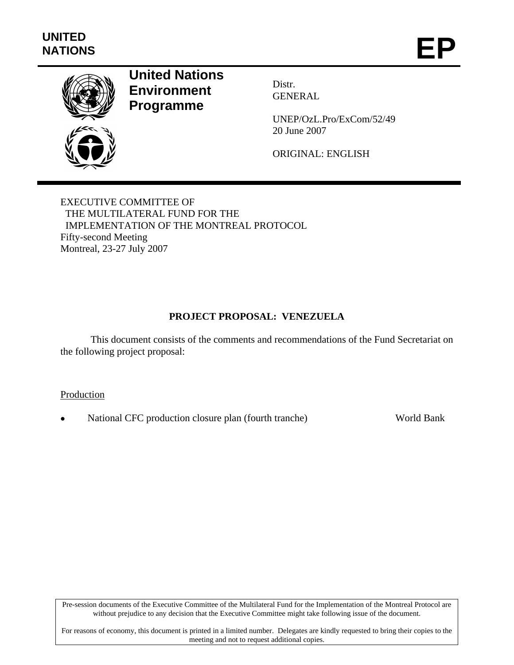

# **United Nations Environment Programme**

Distr. GENERAL

UNEP/OzL.Pro/ExCom/52/49 20 June 2007

ORIGINAL: ENGLISH

EXECUTIVE COMMITTEE OF THE MULTILATERAL FUND FOR THE IMPLEMENTATION OF THE MONTREAL PROTOCOL Fifty-second Meeting Montreal, 23-27 July 2007

# **PROJECT PROPOSAL: VENEZUELA**

 This document consists of the comments and recommendations of the Fund Secretariat on the following project proposal:

**Production** 

• National CFC production closure plan (fourth tranche) World Bank

Pre-session documents of the Executive Committee of the Multilateral Fund for the Implementation of the Montreal Protocol are without prejudice to any decision that the Executive Committee might take following issue of the document.

For reasons of economy, this document is printed in a limited number. Delegates are kindly requested to bring their copies to the meeting and not to request additional copies.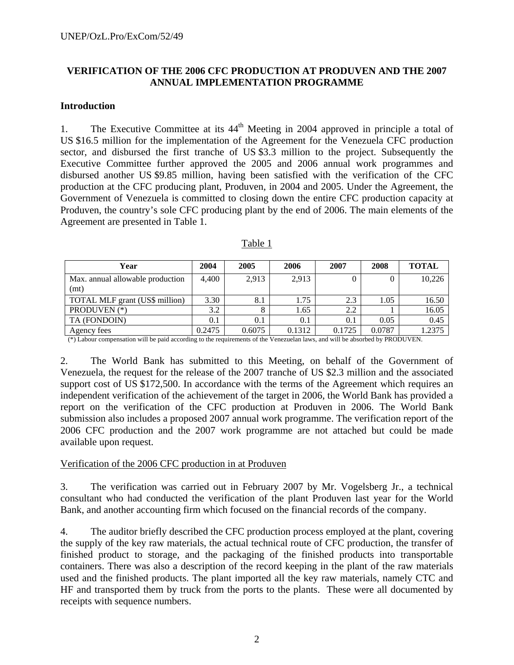## **VERIFICATION OF THE 2006 CFC PRODUCTION AT PRODUVEN AND THE 2007 ANNUAL IMPLEMENTATION PROGRAMME**

### **Introduction**

1. The Executive Committee at its  $44<sup>th</sup>$  Meeting in 2004 approved in principle a total of US \$16.5 million for the implementation of the Agreement for the Venezuela CFC production sector, and disbursed the first tranche of US \$3.3 million to the project. Subsequently the Executive Committee further approved the 2005 and 2006 annual work programmes and disbursed another US \$9.85 million, having been satisfied with the verification of the CFC production at the CFC producing plant, Produven, in 2004 and 2005. Under the Agreement, the Government of Venezuela is committed to closing down the entire CFC production capacity at Produven, the country's sole CFC producing plant by the end of 2006. The main elements of the Agreement are presented in Table 1.

| Year                                     | 2004   | 2005   | 2006   | 2007    | 2008   | <b>TOTAL</b> |
|------------------------------------------|--------|--------|--------|---------|--------|--------------|
| Max. annual allowable production<br>(mt) | 4.400  | 2.913  | 2,913  |         |        | 10,226       |
| TOTAL MLF grant (US\$ million)           | 3.30   | 8.1    | 1.75   | 2.3     | 1.05   | 16.50        |
| PRODUVEN (*)                             | 3.2    |        | 1.65   | 2.2     |        | 16.05        |
| TA (FONDOIN)                             | 0.1    | 0.1    | 0.1    | $0.1\,$ | 0.05   | 0.45         |
| Agency fees                              | 0.2475 | 0.6075 | 0.1312 | 0.1725  | 0.0787 | 1.2375       |

 $(*)$  Labour compensation will be paid according to the requirements of the Venezuelan laws, and will be absorbed by PRODUVEN.

2. The World Bank has submitted to this Meeting, on behalf of the Government of Venezuela, the request for the release of the 2007 tranche of US \$2.3 million and the associated support cost of US \$172,500. In accordance with the terms of the Agreement which requires an independent verification of the achievement of the target in 2006, the World Bank has provided a report on the verification of the CFC production at Produven in 2006. The World Bank submission also includes a proposed 2007 annual work programme. The verification report of the 2006 CFC production and the 2007 work programme are not attached but could be made available upon request.

#### Verification of the 2006 CFC production in at Produven

3. The verification was carried out in February 2007 by Mr. Vogelsberg Jr., a technical consultant who had conducted the verification of the plant Produven last year for the World Bank, and another accounting firm which focused on the financial records of the company.

4. The auditor briefly described the CFC production process employed at the plant, covering the supply of the key raw materials, the actual technical route of CFC production, the transfer of finished product to storage, and the packaging of the finished products into transportable containers. There was also a description of the record keeping in the plant of the raw materials used and the finished products. The plant imported all the key raw materials, namely CTC and HF and transported them by truck from the ports to the plants. These were all documented by receipts with sequence numbers.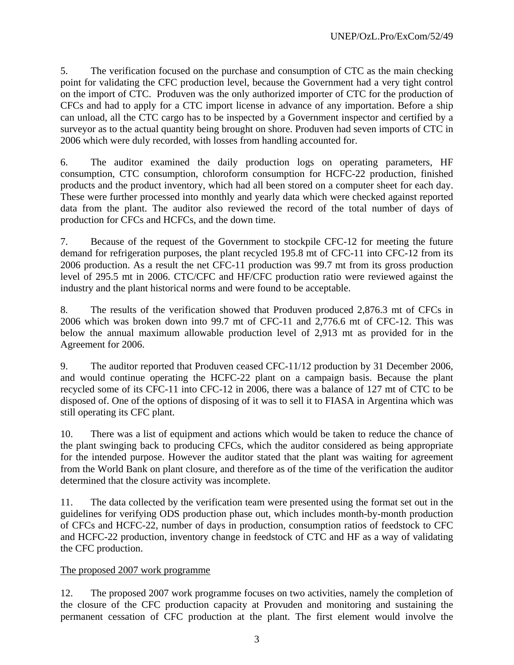5. The verification focused on the purchase and consumption of CTC as the main checking point for validating the CFC production level, because the Government had a very tight control on the import of CTC. Produven was the only authorized importer of CTC for the production of CFCs and had to apply for a CTC import license in advance of any importation. Before a ship can unload, all the CTC cargo has to be inspected by a Government inspector and certified by a surveyor as to the actual quantity being brought on shore. Produven had seven imports of CTC in 2006 which were duly recorded, with losses from handling accounted for.

6. The auditor examined the daily production logs on operating parameters, HF consumption, CTC consumption, chloroform consumption for HCFC-22 production, finished products and the product inventory, which had all been stored on a computer sheet for each day. These were further processed into monthly and yearly data which were checked against reported data from the plant. The auditor also reviewed the record of the total number of days of production for CFCs and HCFCs, and the down time.

7. Because of the request of the Government to stockpile CFC-12 for meeting the future demand for refrigeration purposes, the plant recycled 195.8 mt of CFC-11 into CFC-12 from its 2006 production. As a result the net CFC-11 production was 99.7 mt from its gross production level of 295.5 mt in 2006. CTC/CFC and HF/CFC production ratio were reviewed against the industry and the plant historical norms and were found to be acceptable.

8. The results of the verification showed that Produven produced 2,876.3 mt of CFCs in 2006 which was broken down into 99.7 mt of CFC-11 and 2,776.6 mt of CFC-12. This was below the annual maximum allowable production level of 2,913 mt as provided for in the Agreement for 2006.

9. The auditor reported that Produven ceased CFC-11/12 production by 31 December 2006, and would continue operating the HCFC-22 plant on a campaign basis. Because the plant recycled some of its CFC-11 into CFC-12 in 2006, there was a balance of 127 mt of CTC to be disposed of. One of the options of disposing of it was to sell it to FIASA in Argentina which was still operating its CFC plant.

10. There was a list of equipment and actions which would be taken to reduce the chance of the plant swinging back to producing CFCs, which the auditor considered as being appropriate for the intended purpose. However the auditor stated that the plant was waiting for agreement from the World Bank on plant closure, and therefore as of the time of the verification the auditor determined that the closure activity was incomplete.

11. The data collected by the verification team were presented using the format set out in the guidelines for verifying ODS production phase out, which includes month-by-month production of CFCs and HCFC-22, number of days in production, consumption ratios of feedstock to CFC and HCFC-22 production, inventory change in feedstock of CTC and HF as a way of validating the CFC production.

## The proposed 2007 work programme

12. The proposed 2007 work programme focuses on two activities, namely the completion of the closure of the CFC production capacity at Provuden and monitoring and sustaining the permanent cessation of CFC production at the plant. The first element would involve the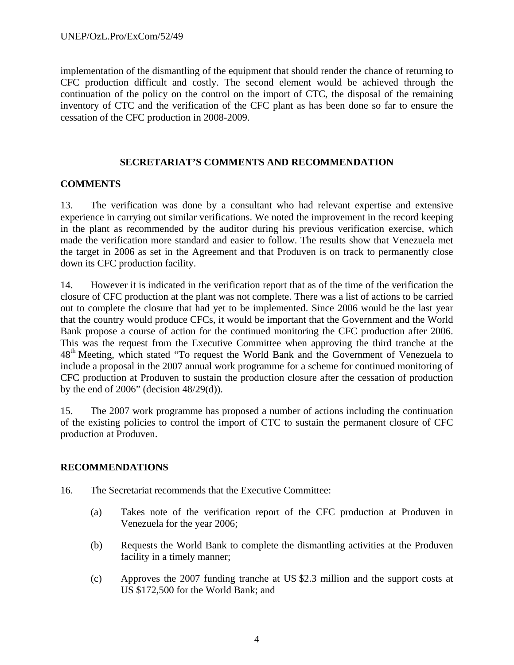implementation of the dismantling of the equipment that should render the chance of returning to CFC production difficult and costly. The second element would be achieved through the continuation of the policy on the control on the import of CTC, the disposal of the remaining inventory of CTC and the verification of the CFC plant as has been done so far to ensure the cessation of the CFC production in 2008-2009.

## **SECRETARIAT'S COMMENTS AND RECOMMENDATION**

## **COMMENTS**

13. The verification was done by a consultant who had relevant expertise and extensive experience in carrying out similar verifications. We noted the improvement in the record keeping in the plant as recommended by the auditor during his previous verification exercise, which made the verification more standard and easier to follow. The results show that Venezuela met the target in 2006 as set in the Agreement and that Produven is on track to permanently close down its CFC production facility.

14. However it is indicated in the verification report that as of the time of the verification the closure of CFC production at the plant was not complete. There was a list of actions to be carried out to complete the closure that had yet to be implemented. Since 2006 would be the last year that the country would produce CFCs, it would be important that the Government and the World Bank propose a course of action for the continued monitoring the CFC production after 2006. This was the request from the Executive Committee when approving the third tranche at the 48<sup>th</sup> Meeting, which stated "To request the World Bank and the Government of Venezuela to include a proposal in the 2007 annual work programme for a scheme for continued monitoring of CFC production at Produven to sustain the production closure after the cessation of production by the end of  $2006$ " (decision  $48/29(d)$ ).

15. The 2007 work programme has proposed a number of actions including the continuation of the existing policies to control the import of CTC to sustain the permanent closure of CFC production at Produven.

## **RECOMMENDATIONS**

- 16. The Secretariat recommends that the Executive Committee:
	- (a) Takes note of the verification report of the CFC production at Produven in Venezuela for the year 2006;
	- (b) Requests the World Bank to complete the dismantling activities at the Produven facility in a timely manner;
	- (c) Approves the 2007 funding tranche at US \$2.3 million and the support costs at US \$172,500 for the World Bank; and